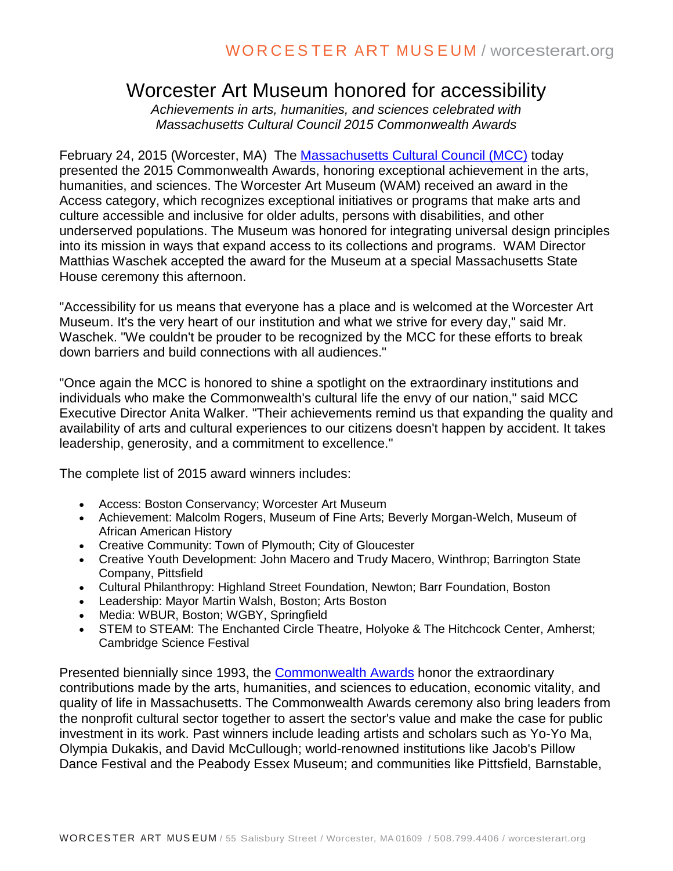## Worcester Art Museum honored for accessibility

*Achievements in arts, humanities, and sciences celebrated with Massachusetts Cultural Council 2015 Commonwealth Awards* 

February 24, 2015 (Worcester, MA) The [Massachusetts Cultural Council \(MCC\)](http://r20.rs6.net/tn.jsp?f=001_jNlXM6pvE5QNtBRAY2qqqnKPu951My5qZuskOPs1Iv6n2QMblH6YynKQ9up0f4NIi_Cd9wpXKAlXg2XOGQKpbHjQXwd6t6ob1qd2XA5M6mXSMDEL_ZcCDaizqxrsFnyAT9hNF3prJkrnnZ5PLOojybVeyQg6QIE2GQyFhenli9c1uOvLRUwX0MyIgoGeU4M_L-N_iHo45VlxjYDsQNv2T26w0yMktMfjrUjn-pTv2tUu9pvaVtpNNe7xwUNNgDuyODkx6tJeDx4bzHq9LfuE-QHaZ2a2pspn08leSNHYjL5vXwbI9mziwhSGMli1jbmkFrCnAwxuQbpIzORo-F96XzVlT5BARZu8IEGCB5CblF9y-XkpLSizQ==&c=1AauRm7M1E3PNnU1QohZ1m-IweBeVviTWDbIdt-ok0F6mg8qWH3Jsg==&ch=z0yX3iSCRMlaHxfO7Mt2EZ6eFVr_6bAByULdAj_VLqxfk459L8nSzw==) today presented the 2015 Commonwealth Awards, honoring exceptional achievement in the arts, humanities, and sciences. The Worcester Art Museum (WAM) received an award in the Access category, which recognizes exceptional initiatives or programs that make arts and culture accessible and inclusive for older adults, persons with disabilities, and other underserved populations. The Museum was honored for integrating universal design principles into its mission in ways that expand access to its collections and programs. WAM Director Matthias Waschek accepted the award for the Museum at a special Massachusetts State House ceremony this afternoon.

"Accessibility for us means that everyone has a place and is welcomed at the Worcester Art Museum. It's the very heart of our institution and what we strive for every day," said Mr. Waschek. "We couldn't be prouder to be recognized by the MCC for these efforts to break down barriers and build connections with all audiences."

"Once again the MCC is honored to shine a spotlight on the extraordinary institutions and individuals who make the Commonwealth's cultural life the envy of our nation," said MCC Executive Director Anita Walker. "Their achievements remind us that expanding the quality and availability of arts and cultural experiences to our citizens doesn't happen by accident. It takes leadership, generosity, and a commitment to excellence."

The complete list of 2015 award winners includes:

- Access: Boston Conservancy; Worcester Art Museum
- Achievement: Malcolm Rogers, Museum of Fine Arts; Beverly Morgan-Welch, Museum of African American History
- Creative Community: Town of Plymouth; City of Gloucester
- Creative Youth Development: John Macero and Trudy Macero, Winthrop; Barrington State Company, Pittsfield
- Cultural Philanthropy: Highland Street Foundation, Newton; Barr Foundation, Boston
- Leadership: Mayor Martin Walsh, Boston; Arts Boston
- Media: WBUR, Boston; WGBY, Springfield
- STEM to STEAM: The Enchanted Circle Theatre, Holyoke & The Hitchcock Center, Amherst; Cambridge Science Festival

Presented biennially since 1993, the [Commonwealth Awards](http://r20.rs6.net/tn.jsp?f=001_jNlXM6pvE5QNtBRAY2qqqnKPu951My5qZuskOPs1Iv6n2QMblH6YynKQ9up0f4NxcwoKjurS1JU0xb7xmRdAK9VPKyW8t565aJDojWaGjDntODkhjPukM1A_IN5AA2Mbioc0xJhCkw3WjFIfhzvHQ1GYRt39V7aLCZm_qx7a05v_oeCVUpiNhvYRxff_iBRGCOHzhYWBAaOGkVBiAfX-58_VRpWTj6t6tsg4NRLbjKyJ17O0fmuIhD2YUUrgrnhPbGZfp--g6PZMuoQ1m7Ui5yajTRgJXBJ5LEn7E1QPOtSNSZgIkxITN6eMCYsupGuwHEl26wPEZe6Oy0tENbZwJ2Z0Tux1-eyfcJ_O1PpFen7XHzogrpWq-g1HXd-T-5fc5w1zux7euXpWWz7QnwQQg==&c=1AauRm7M1E3PNnU1QohZ1m-IweBeVviTWDbIdt-ok0F6mg8qWH3Jsg==&ch=z0yX3iSCRMlaHxfO7Mt2EZ6eFVr_6bAByULdAj_VLqxfk459L8nSzw==) honor the extraordinary contributions made by the arts, humanities, and sciences to education, economic vitality, and quality of life in Massachusetts. The Commonwealth Awards ceremony also bring leaders from the nonprofit cultural sector together to assert the sector's value and make the case for public investment in its work. Past winners include leading artists and scholars such as Yo-Yo Ma, Olympia Dukakis, and David McCullough; world-renowned institutions like Jacob's Pillow Dance Festival and the Peabody Essex Museum; and communities like Pittsfield, Barnstable,